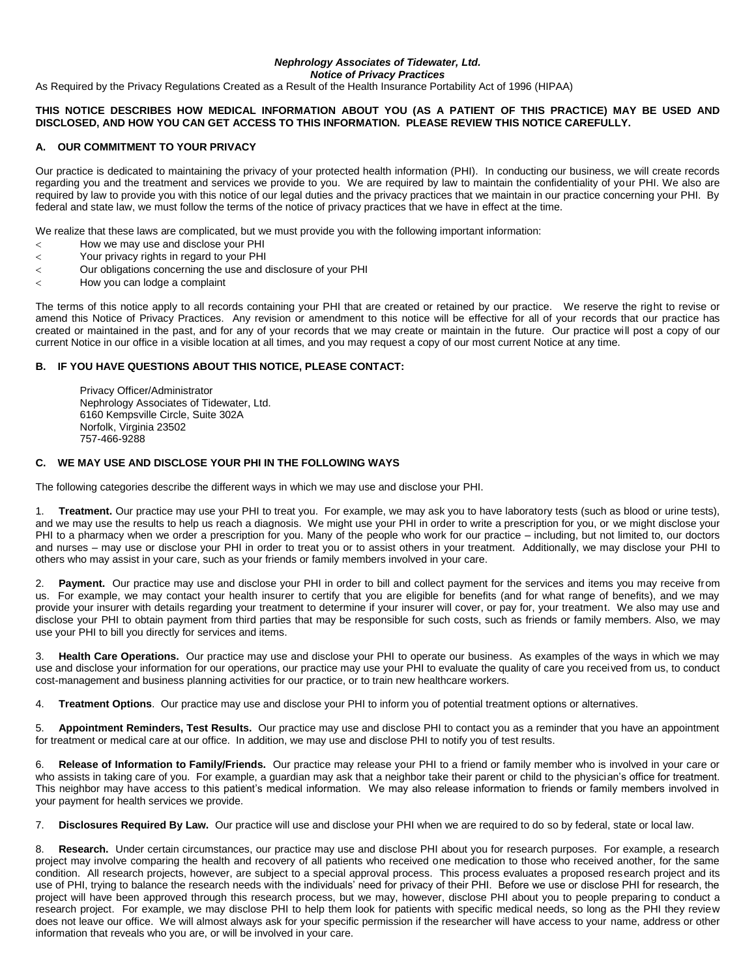# *Nephrology Associates of Tidewater, Ltd.*

*Notice of Privacy Practices*

As Required by the Privacy Regulations Created as a Result of the Health Insurance Portability Act of 1996 (HIPAA)

### **THIS NOTICE DESCRIBES HOW MEDICAL INFORMATION ABOUT YOU (AS A PATIENT OF THIS PRACTICE) MAY BE USED AND DISCLOSED, AND HOW YOU CAN GET ACCESS TO THIS INFORMATION. PLEASE REVIEW THIS NOTICE CAREFULLY.**

### **A. OUR COMMITMENT TO YOUR PRIVACY**

Our practice is dedicated to maintaining the privacy of your protected health information (PHI). In conducting our business, we will create records regarding you and the treatment and services we provide to you. We are required by law to maintain the confidentiality of your PHI. We also are required by law to provide you with this notice of our legal duties and the privacy practices that we maintain in our practice concerning your PHI. By federal and state law, we must follow the terms of the notice of privacy practices that we have in effect at the time.

We realize that these laws are complicated, but we must provide you with the following important information:

- How we may use and disclose your PHI
- Your privacy rights in regard to your PHI
- Our obligations concerning the use and disclosure of your PHI
- How you can lodge a complaint

The terms of this notice apply to all records containing your PHI that are created or retained by our practice. We reserve the right to revise or amend this Notice of Privacy Practices. Any revision or amendment to this notice will be effective for all of your records that our practice has created or maintained in the past, and for any of your records that we may create or maintain in the future. Our practice will post a copy of our current Notice in our office in a visible location at all times, and you may request a copy of our most current Notice at any time.

#### **B. IF YOU HAVE QUESTIONS ABOUT THIS NOTICE, PLEASE CONTACT:**

Privacy Officer/Administrator Nephrology Associates of Tidewater, Ltd. 6160 Kempsville Circle, Suite 302A Norfolk, Virginia 23502 757-466-9288

## **C. WE MAY USE AND DISCLOSE YOUR PHI IN THE FOLLOWING WAYS**

The following categories describe the different ways in which we may use and disclose your PHI.

1. **Treatment.** Our practice may use your PHI to treat you. For example, we may ask you to have laboratory tests (such as blood or urine tests), and we may use the results to help us reach a diagnosis. We might use your PHI in order to write a prescription for you, or we might disclose your PHI to a pharmacy when we order a prescription for you. Many of the people who work for our practice – including, but not limited to, our doctors and nurses – may use or disclose your PHI in order to treat you or to assist others in your treatment. Additionally, we may disclose your PHI to others who may assist in your care, such as your friends or family members involved in your care.

2. **Payment.** Our practice may use and disclose your PHI in order to bill and collect payment for the services and items you may receive from us. For example, we may contact your health insurer to certify that you are eligible for benefits (and for what range of benefits), and we may provide your insurer with details regarding your treatment to determine if your insurer will cover, or pay for, your treatment. We also may use and disclose your PHI to obtain payment from third parties that may be responsible for such costs, such as friends or family members. Also, we may use your PHI to bill you directly for services and items.

3. **Health Care Operations.** Our practice may use and disclose your PHI to operate our business. As examples of the ways in which we may use and disclose your information for our operations, our practice may use your PHI to evaluate the quality of care you received from us, to conduct cost-management and business planning activities for our practice, or to train new healthcare workers.

4. **Treatment Options**. Our practice may use and disclose your PHI to inform you of potential treatment options or alternatives.

5. **Appointment Reminders, Test Results.** Our practice may use and disclose PHI to contact you as a reminder that you have an appointment for treatment or medical care at our office. In addition, we may use and disclose PHI to notify you of test results.

6. **Release of Information to Family/Friends.** Our practice may release your PHI to a friend or family member who is involved in your care or who assists in taking care of you. For example, a guardian may ask that a neighbor take their parent or child to the physician's office for treatment. This neighbor may have access to this patient's medical information. We may also release information to friends or family members involved in your payment for health services we provide.

7. **Disclosures Required By Law.** Our practice will use and disclose your PHI when we are required to do so by federal, state or local law.

8. **Research.** Under certain circumstances, our practice may use and disclose PHI about you for research purposes. For example, a research project may involve comparing the health and recovery of all patients who received one medication to those who received another, for the same condition. All research projects, however, are subject to a special approval process. This process evaluates a proposed research project and its use of PHI, trying to balance the research needs with the individuals' need for privacy of their PHI. Before we use or disclose PHI for research, the project will have been approved through this research process, but we may, however, disclose PHI about you to people preparing to conduct a research project. For example, we may disclose PHI to help them look for patients with specific medical needs, so long as the PHI they review does not leave our office. We will almost always ask for your specific permission if the researcher will have access to your name, address or other information that reveals who you are, or will be involved in your care.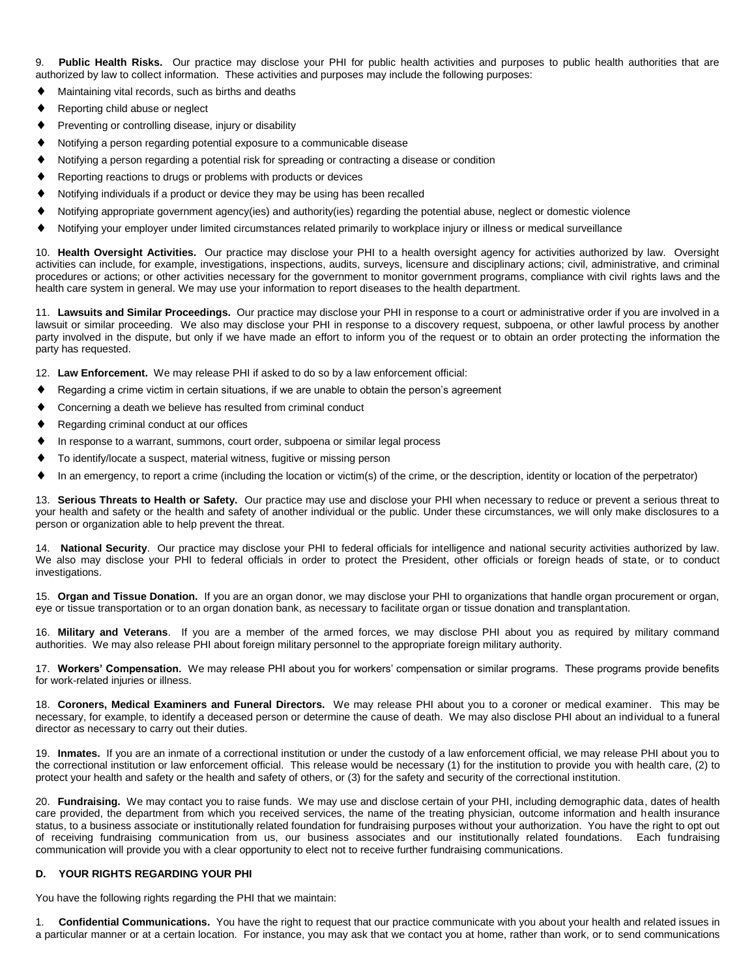9. **Public Health Risks.** Our practice may disclose your PHI for public health activities and purposes to public health authorities that are authorized by law to collect information. These activities and purposes may include the following purposes:

- Maintaining vital records, such as births and deaths
- Reporting child abuse or neglect
- **Preventing or controlling disease, injury or disability**
- Notifying a person regarding potential exposure to a communicable disease
- Notifying a person regarding a potential risk for spreading or contracting a disease or condition
- Reporting reactions to drugs or problems with products or devices
- Notifying individuals if a product or device they may be using has been recalled
- Notifying appropriate government agency(ies) and authority(ies) regarding the potential abuse, neglect or domestic violence
- Notifying your employer under limited circumstances related primarily to workplace injury or illness or medical surveillance

10. **Health Oversight Activities.** Our practice may disclose your PHI to a health oversight agency for activities authorized by law. Oversight activities can include, for example, investigations, inspections, audits, surveys, licensure and disciplinary actions; civil, administrative, and criminal procedures or actions; or other activities necessary for the government to monitor government programs, compliance with civil rights laws and the health care system in general. We may use your information to report diseases to the health department.

11. **Lawsuits and Similar Proceedings.** Our practice may disclose your PHI in response to a court or administrative order if you are involved in a lawsuit or similar proceeding. We also may disclose your PHI in response to a discovery request, subpoena, or other lawful process by another party involved in the dispute, but only if we have made an effort to inform you of the request or to obtain an order protecting the information the party has requested.

12. **Law Enforcement.** We may release PHI if asked to do so by a law enforcement official:

- Regarding a crime victim in certain situations, if we are unable to obtain the person's agreement
- Concerning a death we believe has resulted from criminal conduct
- ◆ Regarding criminal conduct at our offices
- In response to a warrant, summons, court order, subpoena or similar legal process
- To identify/locate a suspect, material witness, fugitive or missing person
- In an emergency, to report a crime (including the location or victim(s) of the crime, or the description, identity or location of the perpetrator)

13. **Serious Threats to Health or Safety.** Our practice may use and disclose your PHI when necessary to reduce or prevent a serious threat to your health and safety or the health and safety of another individual or the public. Under these circumstances, we will only make disclosures to a person or organization able to help prevent the threat.

14. **National Security**. Our practice may disclose your PHI to federal officials for intelligence and national security activities authorized by law. We also may disclose your PHI to federal officials in order to protect the President, other officials or foreign heads of state, or to conduct investigations.

15. **Organ and Tissue Donation.** If you are an organ donor, we may disclose your PHI to organizations that handle organ procurement or organ, eye or tissue transportation or to an organ donation bank, as necessary to facilitate organ or tissue donation and transplantation.

16. **Military and Veterans**. If you are a member of the armed forces, we may disclose PHI about you as required by military command authorities. We may also release PHI about foreign military personnel to the appropriate foreign military authority.

17. **Workers' Compensation.** We may release PHI about you for workers' compensation or similar programs. These programs provide benefits for work-related injuries or illness.

18. **Coroners, Medical Examiners and Funeral Directors.** We may release PHI about you to a coroner or medical examiner. This may be necessary, for example, to identify a deceased person or determine the cause of death. We may also disclose PHI about an individual to a funeral director as necessary to carry out their duties.

19. **Inmates.** If you are an inmate of a correctional institution or under the custody of a law enforcement official, we may release PHI about you to the correctional institution or law enforcement official. This release would be necessary (1) for the institution to provide you with health care, (2) to protect your health and safety or the health and safety of others, or (3) for the safety and security of the correctional institution.

20. **Fundraising.** We may contact you to raise funds. We may use and disclose certain of your PHI, including demographic data, dates of health care provided, the department from which you received services, the name of the treating physician, outcome information and health insurance status, to a business associate or institutionally related foundation for fundraising purposes without your authorization. You have the right to opt out of receiving fundraising communication from us, our business associates and our institutionally related foundations. Each fundraising communication will provide you with a clear opportunity to elect not to receive further fundraising communications.

#### **D. YOUR RIGHTS REGARDING YOUR PHI**

You have the following rights regarding the PHI that we maintain:

1. **Confidential Communications.** You have the right to request that our practice communicate with you about your health and related issues in a particular manner or at a certain location. For instance, you may ask that we contact you at home, rather than work, or to send communications